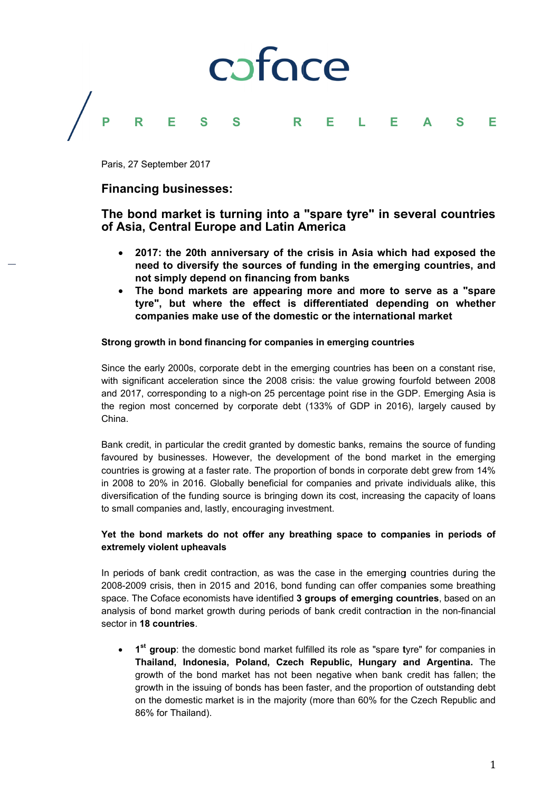

Paris. 27 September 2017

## **Financing businesses:**

# The bond market is turning into a "spare tyre" in several countries of Asia, Central Europe and Latin America

- 2017; the 20th anniversary of the crisis in Asia which had exposed the need to diversify the sources of funding in the emerging countries, and not simply depend on financing from banks
- The bond markets are appearing more and more to serve as a "spare" tyre", but where the effect is differentiated depending on whether companies make use of the domestic or the international market

### Strong growth in bond financing for companies in emerging countries

Since the early 2000s, corporate debt in the emerging countries has been on a constant rise, with significant acceleration since the 2008 crisis: the value growing fourfold between 2008 and 2017, corresponding to a nigh-on 25 percentage point rise in the GDP. Emerging Asia is the region most concerned by corporate debt (133% of GDP in 2016), largely caused by China

Bank credit, in particular the credit granted by domestic banks, remains the source of funding favoured by businesses. However, the development of the bond market in the emerging countries is growing at a faster rate. The proportion of bonds in corporate debt grew from 14% in 2008 to 20% in 2016. Globally beneficial for companies and private individuals alike, this diversification of the funding source is bringing down its cost, increasing the capacity of loans to small companies and, lastly, encouraging investment.

## Yet the bond markets do not offer any breathing space to companies in periods of extremely violent upheavals

In periods of bank credit contraction, as was the case in the emerging countries during the 2008-2009 crisis, then in 2015 and 2016, bond funding can offer companies some breathing space. The Coface economists have identified 3 groups of emerging countries, based on an analysis of bond market growth during periods of bank credit contraction in the non-financial sector in 18 countries.

• 1<sup>st</sup> group: the domestic bond market fulfilled its role as "spare tyre" for companies in Thailand, Indonesia, Poland, Czech Republic, Hungary and Argentina. The growth of the bond market has not been negative when bank credit has fallen; the growth in the issuing of bonds has been faster, and the proportion of outstanding debt on the domestic market is in the majority (more than 60% for the Czech Republic and 86% for Thailand).